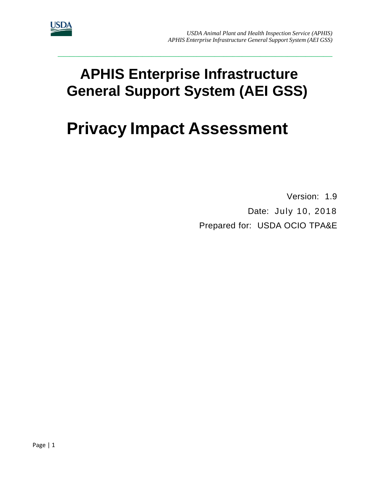

# **APHIS Enterprise Infrastructure General Support System (AEI GSS)**

**\_\_\_\_\_\_\_\_\_\_\_\_\_\_\_\_\_\_\_\_\_\_\_\_\_\_\_\_\_\_\_\_\_\_\_\_\_\_\_\_\_\_\_\_\_\_\_\_\_\_\_\_\_\_\_\_\_\_\_\_\_\_\_\_\_\_\_\_\_\_\_\_\_\_\_\_\_\_\_\_\_\_\_\_\_\_\_\_\_\_\_**

# **Privacy Impact Assessment**

Version: 1.9 Date: July 10, 2018 Prepared for: USDA OCIO TPA&E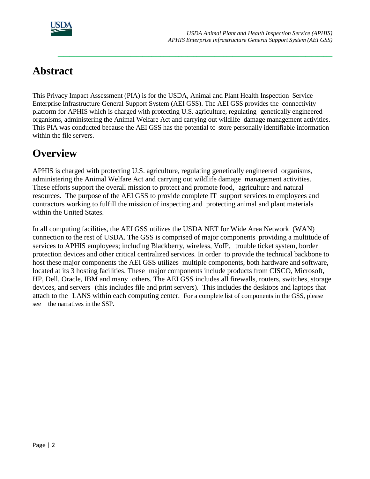

# **Abstract**

This Privacy Impact Assessment (PIA) is for the USDA, Animal and Plant Health Inspection Service Enterprise Infrastructure General Support System (AEI GSS). The AEI GSS provides the connectivity platform for APHIS which is charged with protecting U.S. agriculture, regulating genetically engineered organisms, administering the Animal Welfare Act and carrying out wildlife damage management activities. This PIA was conducted because the AEI GSS has the potential to store personally identifiable information within the file servers.

**\_\_\_\_\_\_\_\_\_\_\_\_\_\_\_\_\_\_\_\_\_\_\_\_\_\_\_\_\_\_\_\_\_\_\_\_\_\_\_\_\_\_\_\_\_\_\_\_\_\_\_\_\_\_\_\_\_\_\_\_\_\_\_\_\_\_\_\_\_\_\_\_\_\_\_\_\_\_\_\_\_\_\_\_\_\_\_\_\_\_\_**

# **Overview**

APHIS is charged with protecting U.S. agriculture, regulating genetically engineered organisms, administering the Animal Welfare Act and carrying out wildlife damage management activities. These efforts support the overall mission to protect and promote food, agriculture and natural resources. The purpose of the AEI GSS to provide complete IT support services to employees and contractors working to fulfill the mission of inspecting and protecting animal and plant materials within the United States.

In all computing facilities, the AEI GSS utilizes the USDA NET for Wide Area Network (WAN) connection to the rest of USDA. The GSS is comprised of major components providing a multitude of services to APHIS employees; including Blackberry, wireless, VoIP, trouble ticket system, border protection devices and other critical centralized services. In order to provide the technical backbone to host these major components the AEI GSS utilizes multiple components, both hardware and software, located at its 3 hosting facilities. These major components include products from CISCO, Microsoft, HP, Dell, Oracle, IBM and many others. The AEI GSS includes all firewalls, routers, switches, storage devices, and servers (this includes file and print servers). This includes the desktops and laptops that attach to the LANS within each computing center. For a complete list of components in the GSS, please see the narratives in the SSP.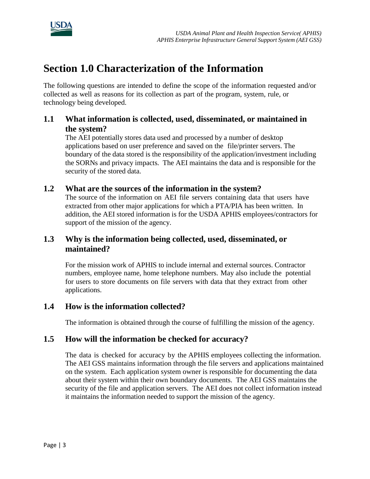

# **Section 1.0 Characterization of the Information**

The following questions are intended to define the scope of the information requested and/or collected as well as reasons for its collection as part of the program, system, rule, or technology being developed.

### **1.1 What information is collected, used, disseminated, or maintained in the system?**

The AEI potentially stores data used and processed by a number of desktop applications based on user preference and saved on the file/printer servers. The boundary of the data stored is the responsibility of the application/investment including the SORNs and privacy impacts. The AEI maintains the data and is responsible for the security of the stored data.

#### **1.2 What are the sources of the information in the system?**

The source of the information on AEI file servers containing data that users have extracted from other major applications for which a PTA/PIA has been written. In addition, the AEI stored information is for the USDA APHIS employees/contractors for support of the mission of the agency.

### **1.3 Why is the information being collected, used, disseminated, or maintained?**

For the mission work of APHIS to include internal and external sources. Contractor numbers, employee name, home telephone numbers. May also include the potential for users to store documents on file servers with data that they extract from other applications.

#### **1.4 How is the information collected?**

The information is obtained through the course of fulfilling the mission of the agency.

#### **1.5 How will the information be checked for accuracy?**

The data is checked for accuracy by the APHIS employees collecting the information. The AEI GSS maintains information through the file servers and applications maintained on the system. Each application system owner is responsible for documenting the data about their system within their own boundary documents. The AEI GSS maintains the security of the file and application servers. The AEI does not collect information instead it maintains the information needed to support the mission of the agency.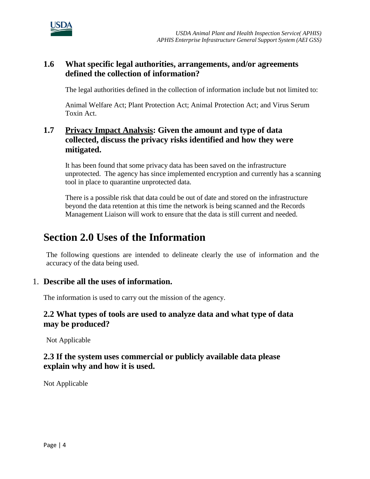

### **1.6 What specific legal authorities, arrangements, and/or agreements defined the collection of information?**

The legal authorities defined in the collection of information include but not limited to:

Animal Welfare Act; Plant Protection Act; Animal Protection Act; and Virus Serum Toxin Act.

## **1.7 Privacy Impact Analysis: Given the amount and type of data collected, discuss the privacy risks identified and how they were mitigated.**

It has been found that some privacy data has been saved on the infrastructure unprotected. The agency has since implemented encryption and currently has a scanning tool in place to quarantine unprotected data.

There is a possible risk that data could be out of date and stored on the infrastructure beyond the data retention at this time the network is being scanned and the Records Management Liaison will work to ensure that the data is still current and needed.

# **Section 2.0 Uses of the Information**

The following questions are intended to delineate clearly the use of information and the accuracy of the data being used.

#### 1. **Describe all the uses of information.**

The information is used to carry out the mission of the agency.

#### **2.2 What types of tools are used to analyze data and what type of data may be produced?**

Not Applicable

### **2.3 If the system uses commercial or publicly available data please explain why and how it is used.**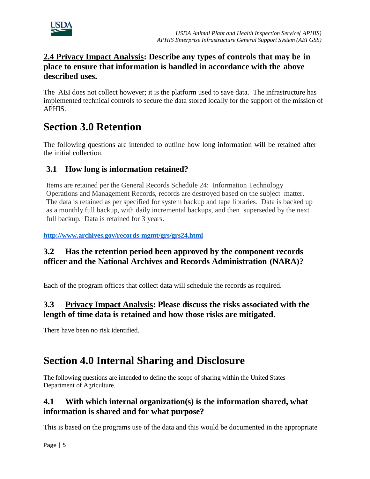

## **2.4 Privacy Impact Analysis: Describe any types of controls that may be in place to ensure that information is handled in accordance with the above described uses.**

The AEI does not collect however; it is the platform used to save data. The infrastructure has implemented technical controls to secure the data stored locally for the support of the mission of APHIS.

# **Section 3.0 Retention**

The following questions are intended to outline how long information will be retained after the initial collection.

# **3.1 How long is information retained?**

Items are retained per the General Records Schedule 24: Information Technology Operations and Management Records, records are destroyed based on the subject matter. The data is retained as per specified for system backup and tape libraries. Data is backed up as a monthly full backup, with daily incremental backups, and then superseded by the next full backup. Data is retained for 3 years.

**<http://www.archives.gov/records-mgmt/grs/grs24.html>**

# **3.2 Has the retention period been approved by the component records officer and the National Archives and Records Administration (NARA)?**

Each of the program offices that collect data will schedule the records as required.

# **3.3 Privacy Impact Analysis: Please discuss the risks associated with the length of time data is retained and how those risks are mitigated.**

There have been no risk identified.

# **Section 4.0 Internal Sharing and Disclosure**

The following questions are intended to define the scope of sharing within the United States Department of Agriculture.

### **4.1 With which internal organization(s) is the information shared, what information is shared and for what purpose?**

This is based on the programs use of the data and this would be documented in the appropriate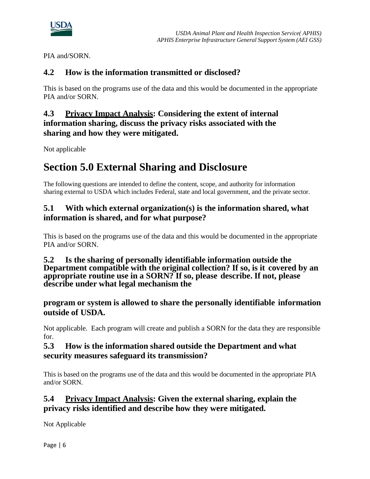

PIA and/SORN.

## **4.2 How is the information transmitted or disclosed?**

This is based on the programs use of the data and this would be documented in the appropriate PIA and/or SORN.

### **4.3 Privacy Impact Analysis: Considering the extent of internal information sharing, discuss the privacy risks associated with the sharing and how they were mitigated.**

Not applicable

# **Section 5.0 External Sharing and Disclosure**

The following questions are intended to define the content, scope, and authority for information sharing external to USDA which includes Federal, state and local government, and the private sector.

### **5.1 With which external organization(s) is the information shared, what information is shared, and for what purpose?**

This is based on the programs use of the data and this would be documented in the appropriate PIA and/or SORN.

#### **5.2 Is the sharing of personally identifiable information outside the Department compatible with the original collection? If so, is it covered by an appropriate routine use in a SORN? If so, please describe. If not, please describe under what legal mechanism the**

**program or system is allowed to share the personally identifiable information outside of USDA.**

Not applicable. Each program will create and publish a SORN for the data they are responsible for.

### **5.3 How is the information shared outside the Department and what security measures safeguard its transmission?**

This is based on the programs use of the data and this would be documented in the appropriate PIA and/or SORN.

### **5.4 Privacy Impact Analysis: Given the external sharing, explain the privacy risks identified and describe how they were mitigated.**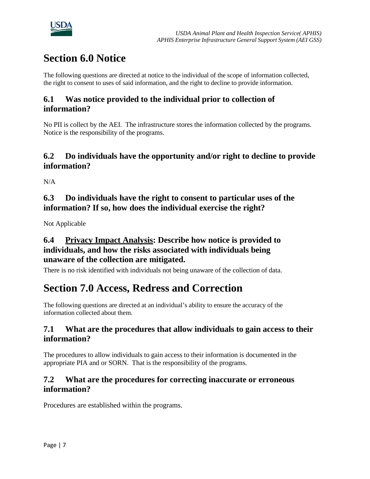

# **Section 6.0 Notice**

The following questions are directed at notice to the individual of the scope of information collected, the right to consent to uses of said information, and the right to decline to provide information.

### **6.1 Was notice provided to the individual prior to collection of information?**

No PII is collect by the AEI. The infrastructure stores the information collected by the programs. Notice is the responsibility of the programs.

### **6.2 Do individuals have the opportunity and/or right to decline to provide information?**

 $N/A$ 

## **6.3 Do individuals have the right to consent to particular uses of the information? If so, how does the individual exercise the right?**

Not Applicable

### **6.4 Privacy Impact Analysis: Describe how notice is provided to individuals, and how the risks associated with individuals being unaware of the collection are mitigated.**

There is no risk identified with individuals not being unaware of the collection of data.

# **Section 7.0 Access, Redress and Correction**

The following questions are directed at an individual's ability to ensure the accuracy of the information collected about them.

### **7.1 What are the procedures that allow individuals to gain access to their information?**

The procedures to allow individuals to gain access to their information is documented in the appropriate PIA and or SORN. That is the responsibility of the programs.

### **7.2 What are the procedures for correcting inaccurate or erroneous information?**

Procedures are established within the programs.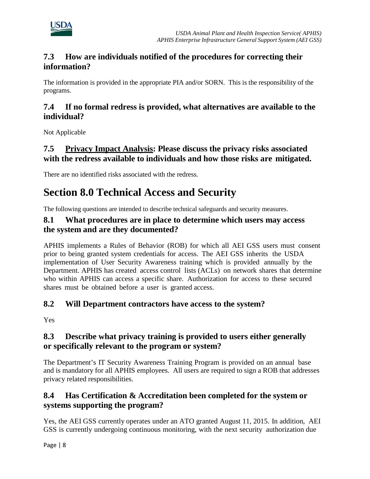

### **7.3 How are individuals notified of the procedures for correcting their information?**

The information is provided in the appropriate PIA and/or SORN. This is the responsibility of the programs.

### **7.4 If no formal redress is provided, what alternatives are available to the individual?**

Not Applicable

# **7.5 Privacy Impact Analysis: Please discuss the privacy risks associated with the redress available to individuals and how those risks are mitigated.**

There are no identified risks associated with the redress.

# **Section 8.0 Technical Access and Security**

The following questions are intended to describe technical safeguards and security measures.

#### **8.1 What procedures are in place to determine which users may access the system and are they documented?**

APHIS implements a Rules of Behavior (ROB) for which all AEI GSS users must consent prior to being granted system credentials for access. The AEI GSS inherits the USDA implementation of User Security Awareness training which is provided annually by the Department. APHIS has created access control lists (ACLs) on network shares that determine who within APHIS can access a specific share. Authorization for access to these secured shares must be obtained before a user is granted access.

### **8.2 Will Department contractors have access to the system?**

Yes

### **8.3 Describe what privacy training is provided to users either generally or specifically relevant to the program or system?**

The Department's IT Security Awareness Training Program is provided on an annual base and is mandatory for all APHIS employees. All users are required to sign a ROB that addresses privacy related responsibilities.

# **8.4 Has Certification & Accreditation been completed for the system or systems supporting the program?**

Yes, the AEI GSS currently operates under an ATO granted August 11, 2015. In addition, AEI GSS is currently undergoing continuous monitoring, with the next security authorization due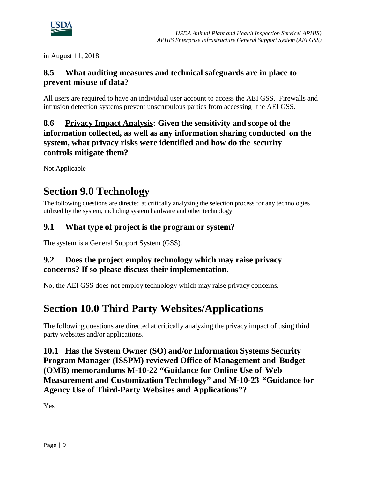

in August 11, 2018.

## **8.5 What auditing measures and technical safeguards are in place to prevent misuse of data?**

All users are required to have an individual user account to access the AEI GSS. Firewalls and intrusion detection systems prevent unscrupulous parties from accessing the AEI GSS.

### **8.6 Privacy Impact Analysis: Given the sensitivity and scope of the information collected, as well as any information sharing conducted on the system, what privacy risks were identified and how do the security controls mitigate them?**

Not Applicable

# **Section 9.0 Technology**

The following questions are directed at critically analyzing the selection process for any technologies utilized by the system, including system hardware and other technology.

### **9.1 What type of project is the program or system?**

The system is a General Support System (GSS).

### **9.2 Does the project employ technology which may raise privacy concerns? If so please discuss their implementation.**

No, the AEI GSS does not employ technology which may raise privacy concerns.

# **Section 10.0 Third Party Websites/Applications**

The following questions are directed at critically analyzing the privacy impact of using third party websites and/or applications.

**10.1 Has the System Owner (SO) and/or Information Systems Security Program Manager (ISSPM) reviewed Office of Management and Budget (OMB) memorandums M-10-22 "Guidance for Online Use of Web Measurement and Customization Technology" and M-10-23 "Guidance for Agency Use of Third-Party Websites and Applications"?**

Yes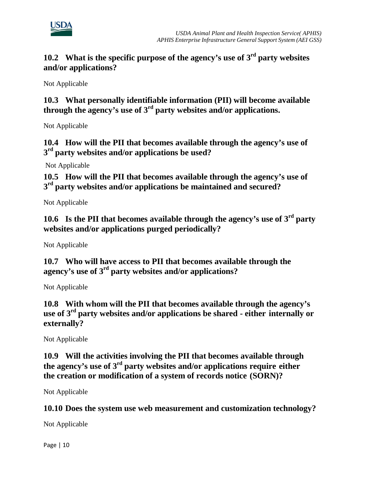

# **10.2 What is the specific purpose of the agency's use of 3rd party websites and/or applications?**

Not Applicable

**10.3 What personally identifiable information (PII) will become available through the agency's use of 3rd party websites and/or applications.**

Not Applicable

**10.4 How will the PII that becomes available through the agency's use of 3rd party websites and/or applications be used?**

Not Applicable

**10.5 How will the PII that becomes available through the agency's use of 3rd party websites and/or applications be maintained and secured?**

Not Applicable

**10.6 Is the PII that becomes available through the agency's use of 3rd party websites and/or applications purged periodically?**

Not Applicable

**10.7 Who will have access to PII that becomes available through the agency's use of 3rd party websites and/or applications?**

Not Applicable

**10.8 With whom will the PII that becomes available through the agency's use of 3rd party websites and/or applications be shared - either internally or externally?**

Not Applicable

**10.9 Will the activities involving the PII that becomes available through the agency's use of 3rd party websites and/or applications require either the creation or modification of a system of records notice (SORN)?**

Not Applicable

**10.10 Does the system use web measurement and customization technology?**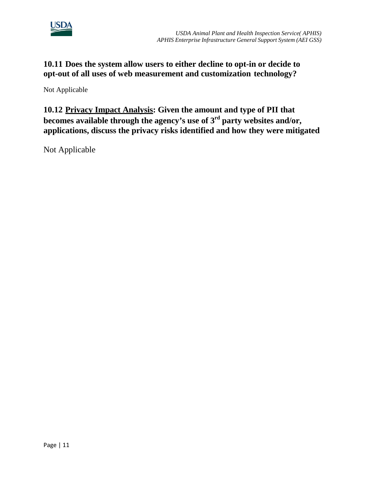

## **10.11 Does the system allow users to either decline to opt-in or decide to opt-out of all uses of web measurement and customization technology?**

Not Applicable

**10.12 Privacy Impact Analysis: Given the amount and type of PII that becomes available through the agency's use of 3rd party websites and/or, applications, discuss the privacy risks identified and how they were mitigated**